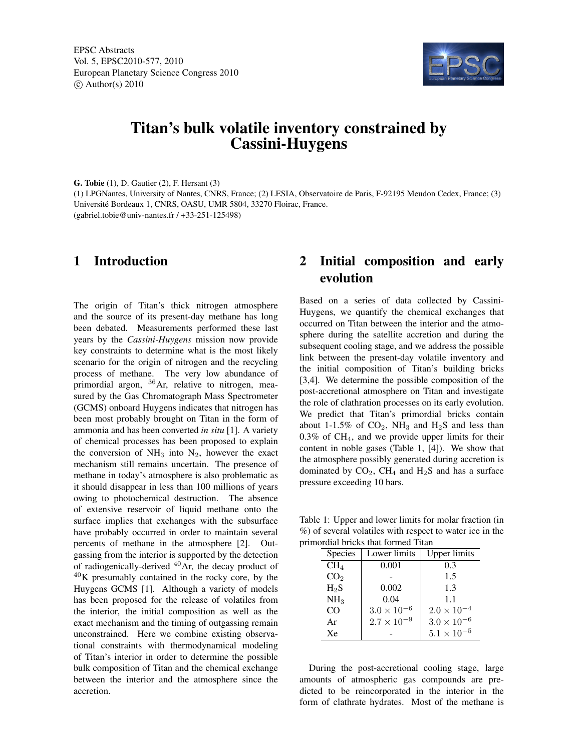EPSC Abstracts Vol. 5, EPSC2010-577, 2010 European Planetary Science Congress 2010  $\circ$  Author(s) 2010



# Titan's bulk volatile inventory constrained by Cassini-Huygens

G. Tobie (1), D. Gautier (2), F. Hersant (3)

(1) LPGNantes, University of Nantes, CNRS, France; (2) LESIA, Observatoire de Paris, F-92195 Meudon Cedex, France; (3) Université Bordeaux 1, CNRS, OASU, UMR 5804, 33270 Floirac, France.

(gabriel.tobie@univ-nantes.fr / +33-251-125498)

### 1 Introduction

The origin of Titan's thick nitrogen atmosphere and the source of its present-day methane has long been debated. Measurements performed these last years by the *Cassini-Huygens* mission now provide key constraints to determine what is the most likely scenario for the origin of nitrogen and the recycling process of methane. The very low abundance of primordial argon,  $36$ Ar, relative to nitrogen, measured by the Gas Chromatograph Mass Spectrometer (GCMS) onboard Huygens indicates that nitrogen has been most probably brought on Titan in the form of ammonia and has been converted *in situ* [1]. A variety of chemical processes has been proposed to explain the conversion of  $NH_3$  into  $N_2$ , however the exact mechanism still remains uncertain. The presence of methane in today's atmosphere is also problematic as it should disappear in less than 100 millions of years owing to photochemical destruction. The absence of extensive reservoir of liquid methane onto the surface implies that exchanges with the subsurface have probably occurred in order to maintain several percents of methane in the atmosphere [2]. Outgassing from the interior is supported by the detection of radiogenically-derived  $40$ Ar, the decay product of  $^{40}$ K presumably contained in the rocky core, by the Huygens GCMS [1]. Although a variety of models has been proposed for the release of volatiles from the interior, the initial composition as well as the exact mechanism and the timing of outgassing remain unconstrained. Here we combine existing observational constraints with thermodynamical modeling of Titan's interior in order to determine the possible bulk composition of Titan and the chemical exchange between the interior and the atmosphere since the accretion.

## 2 Initial composition and early evolution

Based on a series of data collected by Cassini-Huygens, we quantify the chemical exchanges that occurred on Titan between the interior and the atmosphere during the satellite accretion and during the subsequent cooling stage, and we address the possible link between the present-day volatile inventory and the initial composition of Titan's building bricks [3,4]. We determine the possible composition of the post-accretional atmosphere on Titan and investigate the role of clathration processes on its early evolution. We predict that Titan's primordial bricks contain about 1-1.5% of  $CO_2$ , NH<sub>3</sub> and H<sub>2</sub>S and less than  $0.3\%$  of CH<sub>4</sub>, and we provide upper limits for their content in noble gases (Table 1, [4]). We show that the atmosphere possibly generated during accretion is dominated by  $CO<sub>2</sub>$ , CH<sub>4</sub> and H<sub>2</sub>S and has a surface pressure exceeding 10 bars.

Table 1: Upper and lower limits for molar fraction (in %) of several volatiles with respect to water ice in the primordial bricks that formed Titan

| Species         | Lower limits         | Upper limits         |
|-----------------|----------------------|----------------------|
| CH <sub>4</sub> | 0.001                | 0.3                  |
| CO <sub>2</sub> |                      | 1.5                  |
| $H_2S$          | 0.002                | 1.3                  |
| NH <sub>3</sub> | 0.04                 | 1.1                  |
| CO              | $3.0 \times 10^{-6}$ | $2.0 \times 10^{-4}$ |
| Ar              | $2.7 \times 10^{-9}$ | $3.0\times10^{-6}$   |
| Xe              |                      | $5.1 \times 10^{-5}$ |

During the post-accretional cooling stage, large amounts of atmospheric gas compounds are predicted to be reincorporated in the interior in the form of clathrate hydrates. Most of the methane is